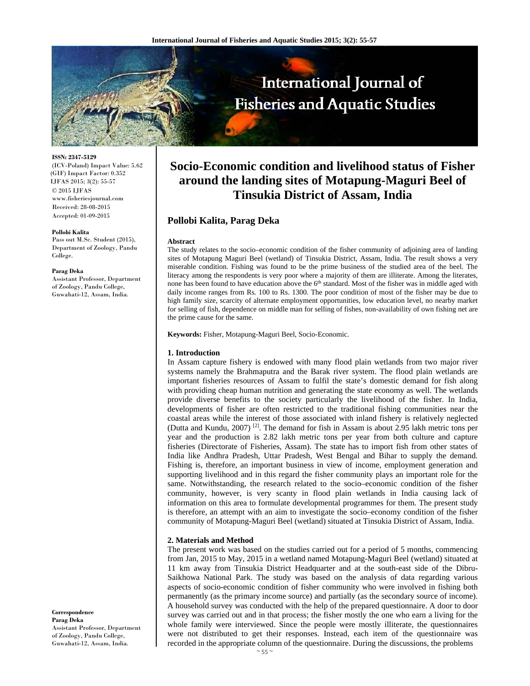

#### **ISSN: 2347-5129**

(ICV-Poland) Impact Value: 5.62 (GIF) Impact Factor: 0.352 IJFAS 2015; 3(2): 55-57 © 2015 IJFAS www.fisheriesjournal.com Received: 28-08-2015 Accepted: 01-09-2015

#### **Pollobi Kalita**

Pass out M.Sc. Student (2015), Department of Zoology, Pandu College.

#### **Parag Deka**

Assistant Professor, Department of Zoology, Pandu College, Guwahati-12, Assam, India.

## **Correspondence Parag Deka**  Assistant Professor, Department of Zoology, Pandu College, Guwahati-12, Assam, India.

# **Socio-Economic condition and livelihood status of Fisher around the landing sites of Motapung-Maguri Beel of Tinsukia District of Assam, India**

# **Pollobi Kalita, Parag Deka**

## **Abstract**

The study relates to the socio–economic condition of the fisher community of adjoining area of landing sites of Motapung Maguri Beel (wetland) of Tinsukia District, Assam, India. The result shows a very miserable condition. Fishing was found to be the prime business of the studied area of the beel. The literacy among the respondents is very poor where a majority of them are illiterate. Among the literates, none has been found to have education above the  $6<sup>th</sup>$  standard. Most of the fisher was in middle aged with daily income ranges from Rs. 100 to Rs. 1300. The poor condition of most of the fisher may be due to high family size, scarcity of alternate employment opportunities, low education level, no nearby market for selling of fish, dependence on middle man for selling of fishes, non-availability of own fishing net are the prime cause for the same.

**Keywords:** Fisher, Motapung-Maguri Beel, Socio-Economic.

## **1. Introduction**

In Assam capture fishery is endowed with many flood plain wetlands from two major river systems namely the Brahmaputra and the Barak river system. The flood plain wetlands are important fisheries resources of Assam to fulfil the state's domestic demand for fish along with providing cheap human nutrition and generating the state economy as well. The wetlands provide diverse benefits to the society particularly the livelihood of the fisher. In India, developments of fisher are often restricted to the traditional fishing communities near the coastal areas while the interest of those associated with inland fishery is relatively neglected (Dutta and Kundu, 2007) <sup>[2]</sup>. The demand for fish in Assam is about 2.95 lakh metric tons per year and the production is 2.82 lakh metric tons per year from both culture and capture fisheries (Directorate of Fisheries, Assam). The state has to import fish from other states of India like Andhra Pradesh, Uttar Pradesh, West Bengal and Bihar to supply the demand. Fishing is, therefore, an important business in view of income, employment generation and supporting livelihood and in this regard the fisher community plays an important role for the same. Notwithstanding, the research related to the socio–economic condition of the fisher community, however, is very scanty in flood plain wetlands in India causing lack of information on this area to formulate developmental programmes for them. The present study is therefore, an attempt with an aim to investigate the socio–economy condition of the fisher community of Motapung-Maguri Beel (wetland) situated at Tinsukia District of Assam, India.

### **2. Materials and Method**

The present work was based on the studies carried out for a period of 5 months, commencing from Jan, 2015 to May, 2015 in a wetland named Motapung-Maguri Beel (wetland) situated at 11 km away from Tinsukia District Headquarter and at the south-east side of the Dibru-Saikhowa National Park. The study was based on the analysis of data regarding various aspects of socio-economic condition of fisher community who were involved in fishing both permanently (as the primary income source) and partially (as the secondary source of income). A household survey was conducted with the help of the prepared questionnaire. A door to door survey was carried out and in that process; the fisher mostly the one who earn a living for the whole family were interviewed. Since the people were mostly illiterate, the questionnaires were not distributed to get their responses. Instead, each item of the questionnaire was recorded in the appropriate column of the questionnaire. During the discussions, the problems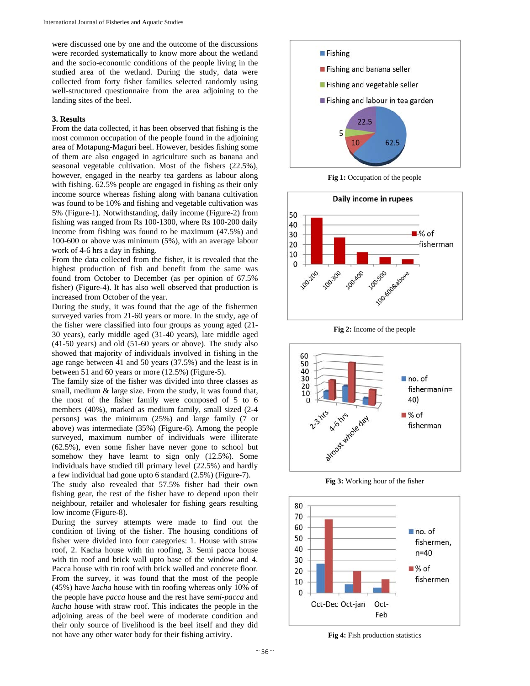were discussed one by one and the outcome of the discussions were recorded systematically to know more about the wetland and the socio-economic conditions of the people living in the studied area of the wetland. During the study, data were collected from forty fisher families selected randomly using well-structured questionnaire from the area adjoining to the landing sites of the beel.

# **3. Results**

From the data collected, it has been observed that fishing is the most common occupation of the people found in the adjoining area of Motapung-Maguri beel. However, besides fishing some of them are also engaged in agriculture such as banana and seasonal vegetable cultivation. Most of the fishers (22.5%), however, engaged in the nearby tea gardens as labour along with fishing. 62.5% people are engaged in fishing as their only income source whereas fishing along with banana cultivation was found to be 10% and fishing and vegetable cultivation was 5% (Figure-1). Notwithstanding, daily income (Figure-2) from fishing was ranged from Rs 100-1300, where Rs 100-200 daily income from fishing was found to be maximum (47.5%) and 100-600 or above was minimum (5%), with an average labour work of 4-6 hrs a day in fishing.

From the data collected from the fisher, it is revealed that the highest production of fish and benefit from the same was found from October to December (as per opinion of 67.5% fisher) (Figure-4). It has also well observed that production is increased from October of the year.

During the study, it was found that the age of the fishermen surveyed varies from 21-60 years or more. In the study, age of the fisher were classified into four groups as young aged (21- 30 years), early middle aged (31-40 years), late middle aged (41-50 years) and old (51-60 years or above). The study also showed that majority of individuals involved in fishing in the age range between 41 and 50 years (37.5%) and the least is in between 51 and 60 years or more (12.5%) (Figure-5).

The family size of the fisher was divided into three classes as small, medium & large size. From the study, it was found that, the most of the fisher family were composed of 5 to 6 members (40%), marked as medium family, small sized (2-4 persons) was the minimum (25%) and large family (7 or above) was intermediate (35%) (Figure-6). Among the people surveyed, maximum number of individuals were illiterate (62.5%), even some fisher have never gone to school but somehow they have learnt to sign only (12.5%). Some individuals have studied till primary level (22.5%) and hardly a few individual had gone upto 6 standard (2.5%) (Figure-7).

The study also revealed that 57.5% fisher had their own fishing gear, the rest of the fisher have to depend upon their neighbour, retailer and wholesaler for fishing gears resulting low income (Figure-8).

During the survey attempts were made to find out the condition of living of the fisher. The housing conditions of fisher were divided into four categories: 1. House with straw roof, 2. Kacha house with tin roofing, 3. Semi pacca house with tin roof and brick wall upto base of the window and 4. Pacca house with tin roof with brick walled and concrete floor. From the survey, it was found that the most of the people (45%) have *kacha* house with tin roofing whereas only 10% of the people have *pacca* house and the rest have *semi-pacca* and *kacha* house with straw roof. This indicates the people in the adjoining areas of the beel were of moderate condition and their only source of livelihood is the beel itself and they did not have any other water body for their fishing activity.



**Fig 1:** Occupation of the people



**Fig 2:** Income of the people



**Fig 3:** Working hour of the fisher



**Fig 4:** Fish production statistics